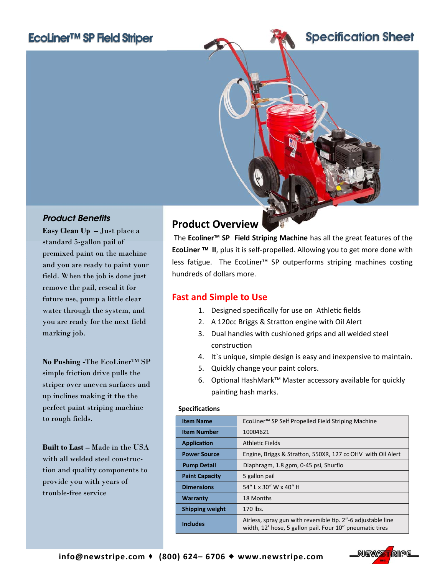# EcoLiner™ SP Field Striper



## *Product Benefits*

**Easy Clean Up –** Just place a standard 5-gallon pail of premixed paint on the machine and you are ready to paint your field. When the job is done just remove the pail, reseal it for future use, pump a little clear water through the system, and you are ready for the next field marking job.

**No Pushing -**The EcoLiner™ SP simple friction drive pulls the striper over uneven surfaces and up inclines making it the the perfect paint striping machine to rough fields.

**Built to Last –** Made in the USA with all welded steel construction and quality components to provide you with years of trouble-free service

## **Product Overview**

The **Ecoliner™ SP Field Striping Machine** has all the great features of the **EcoLiner II**, plus it is self‐propelled. Allowing you to get more done with less fatigue. The EcoLiner™ SP outperforms striping machines costing hundreds of dollars more.

### **Fast and Simple to Use**

- 1. Designed specifically for use on Athletic fields
- 2. A 120cc Briggs & Stratton engine with Oil Alert
- 3. Dual handles with cushioned grips and all welded steel construcƟon
- 4. It`s unique, simple design is easy and inexpensive to maintain.
- 5. Quickly change your paint colors.
- 6. Optional HashMark<sup>™</sup> Master accessory available for quickly painting hash marks.

#### **SpecificaƟons**

| <b>Item Name</b>       | EcoLiner <sup>™</sup> SP Self Propelled Field Striping Machine                                                           |
|------------------------|--------------------------------------------------------------------------------------------------------------------------|
| <b>Item Number</b>     | 10004621                                                                                                                 |
| <b>Application</b>     | Athletic Fields                                                                                                          |
| <b>Power Source</b>    | Engine, Briggs & Stratton, 550XR, 127 cc OHV with Oil Alert                                                              |
| <b>Pump Detail</b>     | Diaphragm, 1.8 gpm, 0-45 psi, Shurflo                                                                                    |
| <b>Paint Capacity</b>  | 5 gallon pail                                                                                                            |
| <b>Dimensions</b>      | 54" L x 30" W x 40" H                                                                                                    |
| <b>Warranty</b>        | 18 Months                                                                                                                |
| <b>Shipping weight</b> | 170 lbs.                                                                                                                 |
| <b>Includes</b>        | Airless, spray gun with reversible tip. 2"-6 adjustable line<br>width, 12' hose, 5 gallon pail. Four 10" pneumatic tires |